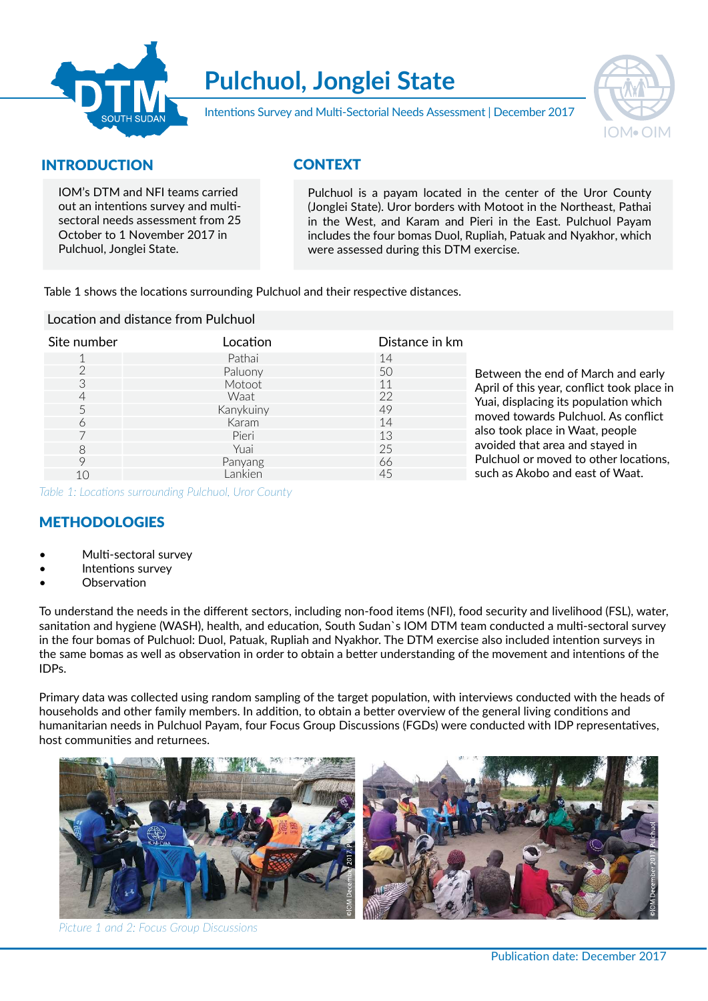

# Pulchuol, Jonglei State



Intentions Survey and Multi-Sectorial Needs Assessment | December 2017

## INTRODUCTION

IOM's DTM and NFI teams carried out an intentions survey and multisectoral needs assessment from 25 October to 1 November 2017 in Pulchuol, Jonglei State.

## **CONTEXT**

Pulchuol is a payam located in the center of the Uror County (Jonglei State). Uror borders with Motoot in the Northeast, Pathai in the West, and Karam and Pieri in the East. Pulchuol Payam includes the four bomas Duol, Rupliah, Patuak and Nyakhor, which were assessed during this DTM exercise.

Table 1 shows the locations surrounding Pulchuol and their respective distances.

#### Location and distance from Pulchuol

| Site number | Location  | Distance in km |                                            |  |  |  |
|-------------|-----------|----------------|--------------------------------------------|--|--|--|
|             | Pathai    | 14             |                                            |  |  |  |
|             | Paluony   | 50             | Between the end of March and early         |  |  |  |
| 3           | Motoot.   | 11             | April of this year, conflict took place in |  |  |  |
| 4           | Waat      | 22             | Yuai, displacing its population which      |  |  |  |
|             | Kanykuiny | 49             | moved towards Pulchuol. As conflict        |  |  |  |
| 6           | Karam     | 14             |                                            |  |  |  |
|             | Pieri     | 13             | also took place in Waat, people            |  |  |  |
| 8           | Yuai      | 25             | avoided that area and stayed in            |  |  |  |
| Q           | Panyang   | 66             | Pulchuol or moved to other locations,      |  |  |  |
| 10          | Lankien   | 45             | such as Akobo and east of Waat.            |  |  |  |

Table 1: Locations surrounding Pulchuol, Uror County

## METHODOLOGIES

- Multi-sectoral survey
- Intentions survey
- **Observation**

To understand the needs in the different sectors, including non-food items (NFI), food security and livelihood (FSL), water, sanitation and hygiene (WASH), health, and education, South Sudan`s IOM DTM team conducted a multi-sectoral survey in the four bomas of Pulchuol: Duol, Patuak, Rupliah and Nyakhor. The DTM exercise also included intention surveys in the same bomas as well as observation in order to obtain a better understanding of the movement and intentions of the IDPs.

Primary data was collected using random sampling of the target population, with interviews conducted with the heads of households and other family members. In addition, to obtain a better overview of the general living conditions and humanitarian needs in Pulchuol Payam, four Focus Group Discussions (FGDs) were conducted with IDP representatives, host communities and returnees.



Picture 1 and 2: Focus Group Discussions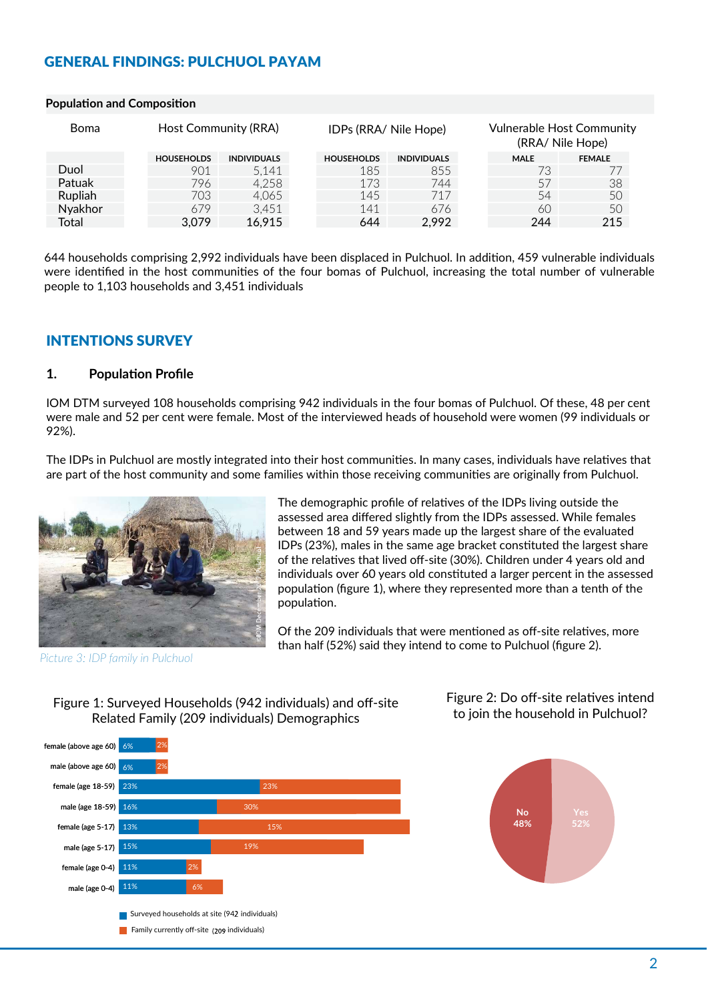## GENERAL FINDINGS: PULCHUOL PAYAM

| <b>Boma</b> | Host Community (RRA) |                    |                   | IDPs (RRA/ Nile Hope) |             | <b>Vulnerable Host Community</b><br>(RRA/ Nile Hope) |  |
|-------------|----------------------|--------------------|-------------------|-----------------------|-------------|------------------------------------------------------|--|
|             | <b>HOUSEHOLDS</b>    | <b>INDIVIDUALS</b> | <b>HOUSEHOLDS</b> | <b>INDIVIDUALS</b>    | <b>MALE</b> | <b>FEMALE</b>                                        |  |
| Duol        | 901                  | 5,141              | 185               | 855                   | 73.         |                                                      |  |
| Patuak      | 796                  | 4,258              | 173               | 744                   | 57          | 38                                                   |  |
| Rupliah     | 703                  | 4.065              | 145               | 717                   | 54          | 50                                                   |  |
| Nyakhor     | 679                  | 3,451              | 141               | 676                   | 60          | 50                                                   |  |
| Total       | 3,079                | 16,915             | 644               | 2,992                 | 244         | 215                                                  |  |

#### Population and Composition

644 households comprising 2,992 individuals have been displaced in Pulchuol. In addition, 459 vulnerable individuals were identified in the host communities of the four bomas of Pulchuol, increasing the total number of vulnerable people to 1,103 households and 3,451 individuals

## INTENTIONS SURVEY

#### 1. Population Profile

IOM DTM surveyed 108 households comprising 942 individuals in the four bomas of Pulchuol. Of these, 48 per cent were male and 52 per cent were female. Most of the interviewed heads of household were women (99 individuals or 92%).

The IDPs in Pulchuol are mostly integrated into their host communities. In many cases, individuals have relatives that are part of the host community and some families within those receiving communities are originally from Pulchuol.



Picture 3: IDP family in Pulchuol

The demographic profile of relatives of the IDPs living outside the assessed area differed slightly from the IDPs assessed. While females between 18 and 59 years made up the largest share of the evaluated IDPs (23%), males in the same age bracket constituted the largest share of the relatives that lived off-site (30%). Children under 4 years old and individuals over 60 years old consঞtuted a larger percent in the assessed population (figure 1), where they represented more than a tenth of the population.

Of the 209 individuals that were mentioned as off-site relatives, more than half (52%) said they intend to come to Pulchuol (figure 2).





Figure 2: Do off-site relatives intend to join the household in Pulchuol?

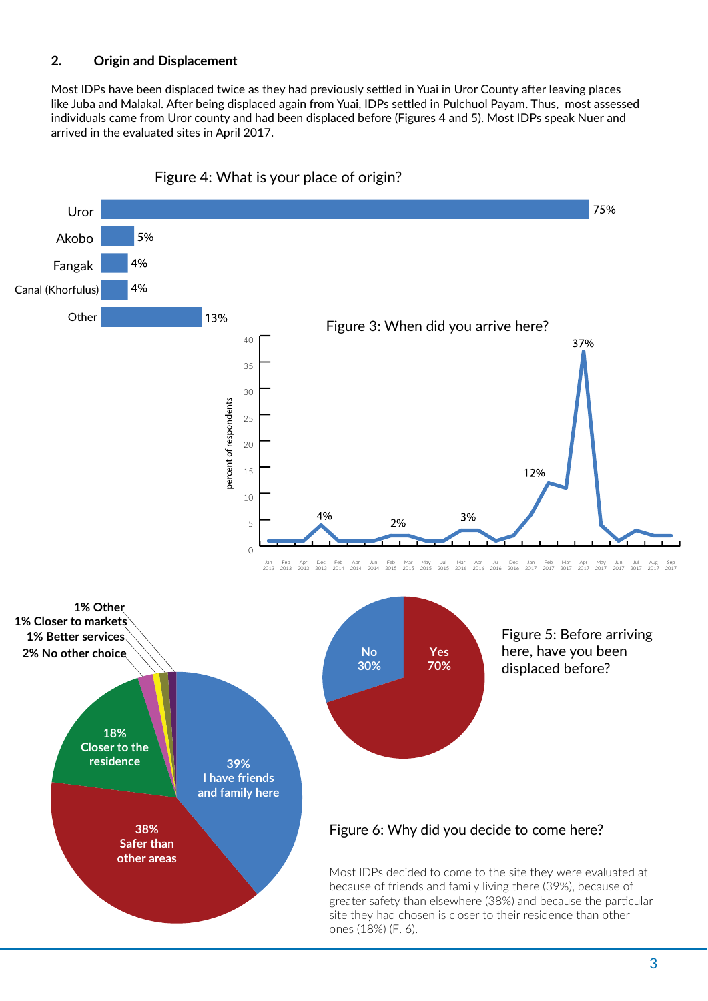## 2. Origin and Displacement

Most IDPs have been displaced twice as they had previously settled in Yuai in Uror County after leaving places like Juba and Malakal. After being displaced again from Yuai, IDPs settled in Pulchuol Payam. Thus, most assessed individuals came from Uror county and had been displaced before (Figures 4 and 5). Most IDPs speak Nuer and arrived in the evaluated sites in April 2017.



Figure 4: What is your place of origin?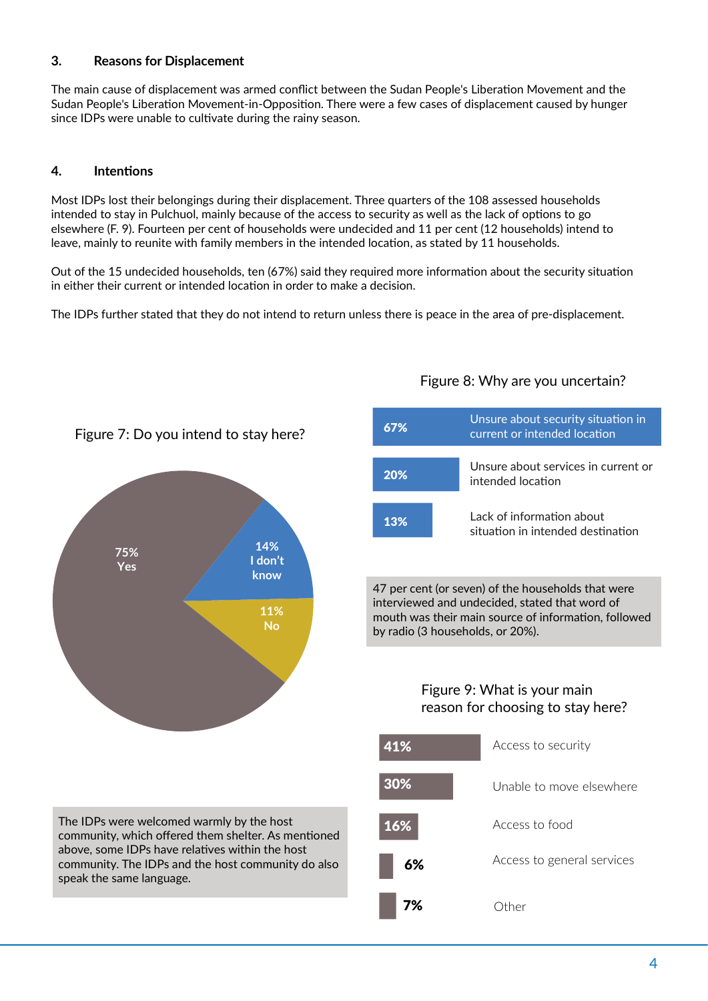## 3. Reasons for Displacement

The main cause of displacement was armed conflict between the Sudan People's Liberation Movement and the Sudan People's Liberation Movement-in-Opposition. There were a few cases of displacement caused by hunger since IDPs were unable to cultivate during the rainy season.

### 4. Intentions

Most IDPs lost their belongings during their displacement. Three quarters of the 108 assessed households intended to stay in Pulchuol, mainly because of the access to security as well as the lack of options to go elsewhere (F. 9). Fourteen per cent of households were undecided and 11 per cent (12 households) intend to leave, mainly to reunite with family members in the intended location, as stated by 11 households.

Out of the 15 undecided households, ten (67%) said they required more information about the security situation in either their current or intended location in order to make a decision.

The IDPs further stated that they do not intend to return unless there is peace in the area of pre-displacement.



## Figure 7: Do you intend to stay here?

The IDPs were welcomed warmly by the host community, which offered them shelter. As mentioned above, some IDPs have relatives within the host community. The IDPs and the host community do also speak the same language.

#### Unsure about security situation in current or intended location Unsure about services in current or intended location Lack of information about situation in intended destination 67% 20% 13%

47 per cent (or seven) of the households that were interviewed and undecided, stated that word of mouth was their main source of information, followed by radio (3 households, or 20%).

## Figure 9: What is your main reason for choosing to stay here?



# Figure 8: Why are you uncertain?